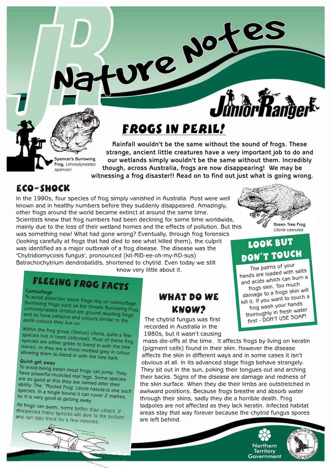# Frogs in peril!

**Rainfall wouldn't be the same without the sound of frogs. These strange, ancient little creatures have a very important job to do and our wetlands simply wouldn't be the same without them. Incredibly though, across Australia, frogs are now disappearing! We may be witnessing a frog disaster!! Read on to find out just what is going wrong. Spencer's Burrowing Frog,** *Limnodynastes* 

re Notes

#### Eco-shock

*spenceri*

In the 1990s, four species of frog simply vanished in Australia. Most were well known and in healthy numbers before they suddenly disappeared. Amazingly, other frogs around the world became extinct at around the same time. Scientists knew that frog numbers had been declining for some time worldwide, mainly due to the loss of their wetland homes and the effects of pollution. But this was something new! What had gone wrong? Eventually, through frog forensics (looking carefully at frogs that had died to see what killed them), the culprit was identified as a major outbreak of a frog disease. The disease was the 'Chytridiomycosis fungus', pronounced (kit-RID-ee-oh-my-KO-sus) Batrachochytrium dendrobatidis, shortened to chytrid. Even today we still know very little about it.

# **FLEEING FROG FACTS**

**Camouflage**

To avoid detection some frogs rely on camouflage.<br>Burrowing frogs such as the Ornate B <sup>10</sup> avoid detection some frogs rely on camouflage.<br>Burrowing frogs such as the Ornate Burrowing Frog<br>Limnodynastes ornatus are ground demoning Frog *Limnodynastes ornatus* are ground dwelling frogs<br>and so have patterns and colours similar to the<br>earth colours they live on and so have patterns and colours similar frog<br>earth colours they live on.<br>earth colours they live on.

Within the frog group (Genus) *Litoria,* quite a few<br>Species live in trees (arhers w species live in trees (aboveal). *Inoila*, quite a few<br>species are either green to tull. Most of these fro species are either green to blend in with these frog<br>leaves, or they are a more mottlod are the tree eaves, or they are a more mottled grey in colour<br>llowing them to blend in with the grey in colour allowing them to blend in with the tree bark.<br>Quick get away

To avoid being eaten most frogs can jump. They<br><sup>have</sup> powerful muscled roas to nave powerful muscled rear legs. Some species<br>are so good at this they are named after their<br>ability. The 'Rocket F ability. The 'Rocket Froy' at fiamed after their<br>Species. In a single hound it can pecies. In a single bound it can cover 2 metres,<br><sup>o it</sup> is very good at getting <sub>alum</sub>. so it is very good at getting away.

All frogs can swim, some better than others. If All frogs can swim, some better than others. If<br>threatened many species will dive to the bottom<br>and can stay there for a few minute nd can stay there for a few minutes



## WHAT DO WE know?

The chytrid fungus was first recorded in Australia in the 1980s, but it wasn't causing

mass die-offs at the time. It affects frogs by living on keratin (pigment cells) found in their skin. However the disease affects the skin in different ways and in some cases it isn't obvious at all. In its advanced stage frogs behave strangely. They sit out in the sun, poking their tongues out and arching their backs. Signs of the disease are damage and redness of the skin surface. When they die their limbs are outstretched in awkward positions. Because frogs breathe and absorb water through their skins, sadly they die a horrible death. Frog tadpoles are not affected as they lack keratin. Infected habitat areas stay that way forever because the chytrid fungus spores are left behind.







# Look but DON'T TOUCH

The palms of your hands are loaded with salts  $\frac{1}{a}$  and acids which can burn a frogs skin. Too much damage to a frogs skin will damage to a mant to touch a frog wash your hands thoroughly in fresh water first - DON'T USE SOAP!